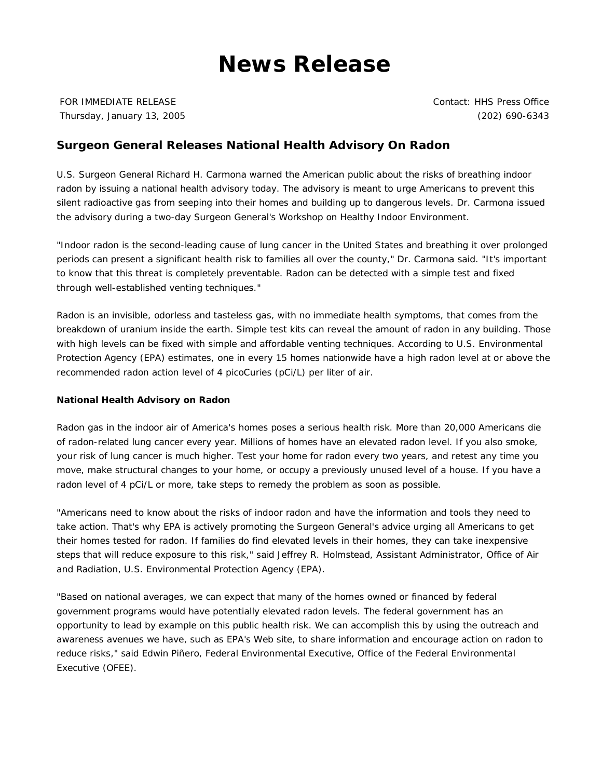## **News Release**

FOR IMMEDIATE RELEASE Thursday, January 13, 2005 Contact: HHS Press Office (202) 690-6343

## **Surgeon General Releases National Health Advisory On Radon**

U.S. Surgeon General Richard H. Carmona warned the American public about the risks of breathing indoor radon by issuing a national health advisory today. The advisory is meant to urge Americans to prevent this silent radioactive gas from seeping into their homes and building up to dangerous levels. Dr. Carmona issued the advisory during a two-day Surgeon General's Workshop on Healthy Indoor Environment.

"Indoor radon is the second-leading cause of lung cancer in the United States and breathing it over prolonged periods can present a significant health risk to families all over the county," Dr. Carmona said. "It's important to know that this threat is completely preventable. Radon can be detected with a simple test and fixed through well-established venting techniques."

Radon is an invisible, odorless and tasteless gas, with no immediate health symptoms, that comes from the breakdown of uranium inside the earth. Simple test kits can reveal the amount of radon in any building. Those with high levels can be fixed with simple and affordable venting techniques. According to U.S. Environmental Protection Agency (EPA) estimates, one in every 15 homes nationwide have a high radon level at or above the recommended radon action level of 4 picoCuries (pCi/L) per liter of air.

## **National Health Advisory on Radon**

Radon gas in the indoor air of America's homes poses a serious health risk. More than 20,000 Americans die of radon-related lung cancer every year. Millions of homes have an elevated radon level. If you also smoke, your risk of lung cancer is much higher. Test your home for radon every two years, and retest any time you move, make structural changes to your home, or occupy a previously unused level of a house. If you have a radon level of 4 pCi/L or more, take steps to remedy the problem as soon as possible.

"Americans need to know about the risks of indoor radon and have the information and tools they need to take action. That's why EPA is actively promoting the Surgeon General's advice urging all Americans to get their homes tested for radon. If families do find elevated levels in their homes, they can take inexpensive steps that will reduce exposure to this risk," said Jeffrey R. Holmstead, Assistant Administrator, Office of Air and Radiation, U.S. Environmental Protection Agency (EPA).

"Based on national averages, we can expect that many of the homes owned or financed by federal government programs would have potentially elevated radon levels. The federal government has an opportunity to lead by example on this public health risk. We can accomplish this by using the outreach and awareness avenues we have, such as EPA's Web site, to share information and encourage action on radon to reduce risks," said Edwin Piñero, Federal Environmental Executive, Office of the Federal Environmental Executive (OFEE).